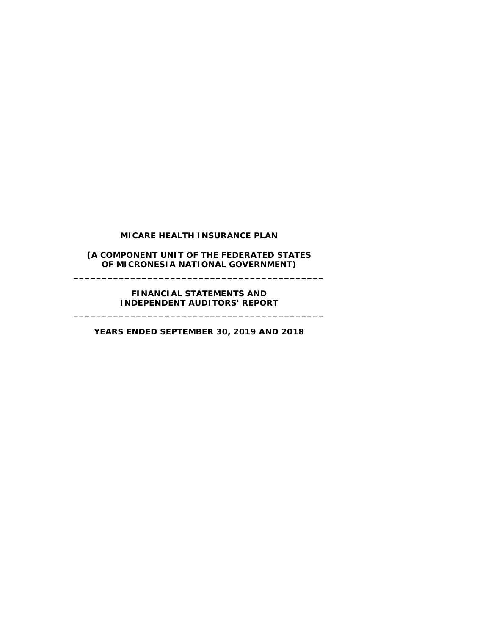#### **MICARE HEALTH INSURANCE PLAN**

#### **(A COMPONENT UNIT OF THE FEDERATED STATES OF MICRONESIA NATIONAL GOVERNMENT) \_\_\_\_\_\_\_\_\_\_\_\_\_\_\_\_\_\_\_\_\_\_\_\_\_\_\_\_\_\_\_\_\_\_\_\_\_\_\_\_\_\_\_\_**

#### **FINANCIAL STATEMENTS AND INDEPENDENT AUDITORS' REPORT \_\_\_\_\_\_\_\_\_\_\_\_\_\_\_\_\_\_\_\_\_\_\_\_\_\_\_\_\_\_\_\_\_\_\_\_\_\_\_\_\_\_\_\_**

**YEARS ENDED SEPTEMBER 30, 2019 AND 2018**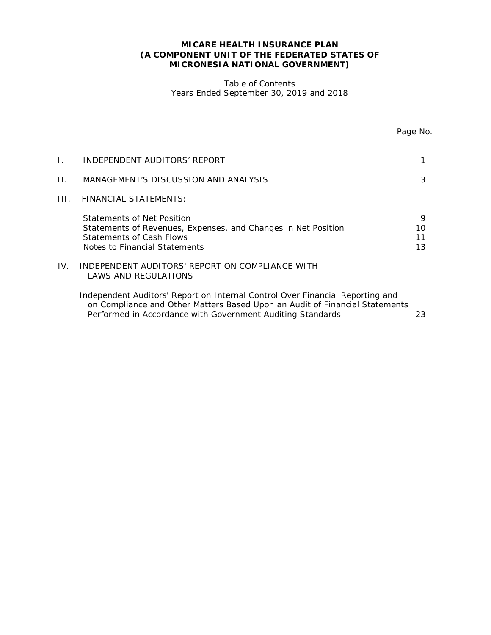Table of Contents Years Ended September 30, 2019 and 2018

| Ι.   | INDEPENDENT AUDITORS' REPORT                                                                                                                             | 1                   |
|------|----------------------------------------------------------------------------------------------------------------------------------------------------------|---------------------|
| Н.   | MANAGEMENT'S DISCUSSION AND ANALYSIS                                                                                                                     | 3                   |
| III. | <b>FINANCIAL STATEMENTS:</b>                                                                                                                             |                     |
|      | Statements of Net Position<br>Statements of Revenues, Expenses, and Changes in Net Position<br>Statements of Cash Flows<br>Notes to Financial Statements | 9<br>10<br>11<br>13 |
| IV.  | INDEPENDENT AUDITORS' REPORT ON COMPLIANCE WITH<br>LAWS AND REGULATIONS                                                                                  |                     |
|      | Independent Auditors' Report on Internal Control Over Einancial Reporting and                                                                            |                     |

Independent Auditors' Report on Internal Control Over Financial Reporting and on Compliance and Other Matters Based Upon an Audit of Financial Statements Performed in Accordance with *Government Auditing Standards* 23

Page No.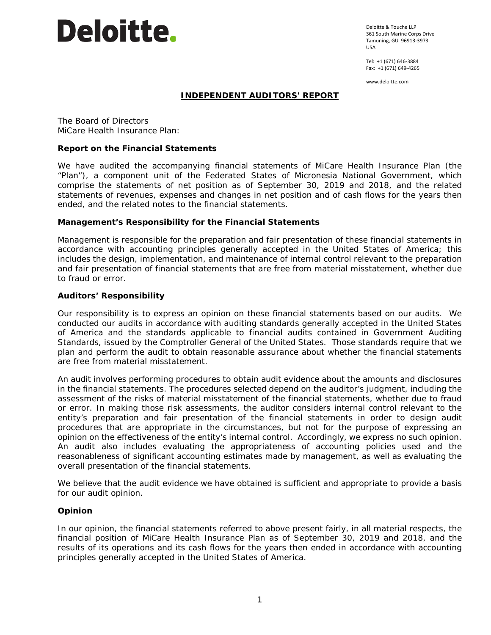# **Deloitte.**

Deloitte & Touche LLP 361 South Marine Corps Drive Tamuning, GU 96913-3973 USA

Tel: +1 (671) 646-3884 Fax: +1 (671) 649-4265

www.deloitte.com

#### **INDEPENDENT AUDITORS' REPORT**

The Board of Directors MiCare Health Insurance Plan:

#### **Report on the Financial Statements**

We have audited the accompanying financial statements of MiCare Health Insurance Plan (the "Plan"), a component unit of the Federated States of Micronesia National Government, which comprise the statements of net position as of September 30, 2019 and 2018, and the related statements of revenues, expenses and changes in net position and of cash flows for the years then ended, and the related notes to the financial statements.

#### *Management's Responsibility for the Financial Statements*

Management is responsible for the preparation and fair presentation of these financial statements in accordance with accounting principles generally accepted in the United States of America; this includes the design, implementation, and maintenance of internal control relevant to the preparation and fair presentation of financial statements that are free from material misstatement, whether due to fraud or error.

#### *Auditors' Responsibility*

Our responsibility is to express an opinion on these financial statements based on our audits. We conducted our audits in accordance with auditing standards generally accepted in the United States of America and the standards applicable to financial audits contained in *Government Auditing Standards,* issued by the Comptroller General of the United States. Those standards require that we plan and perform the audit to obtain reasonable assurance about whether the financial statements are free from material misstatement.

An audit involves performing procedures to obtain audit evidence about the amounts and disclosures in the financial statements. The procedures selected depend on the auditor's judgment, including the assessment of the risks of material misstatement of the financial statements, whether due to fraud or error. In making those risk assessments, the auditor considers internal control relevant to the entity's preparation and fair presentation of the financial statements in order to design audit procedures that are appropriate in the circumstances, but not for the purpose of expressing an opinion on the effectiveness of the entity's internal control. Accordingly, we express no such opinion. An audit also includes evaluating the appropriateness of accounting policies used and the reasonableness of significant accounting estimates made by management, as well as evaluating the overall presentation of the financial statements.

We believe that the audit evidence we have obtained is sufficient and appropriate to provide a basis for our audit opinion.

#### *Opinion*

In our opinion, the financial statements referred to above present fairly, in all material respects, the financial position of MiCare Health Insurance Plan as of September 30, 2019 and 2018, and the results of its operations and its cash flows for the years then ended in accordance with accounting principles generally accepted in the United States of America.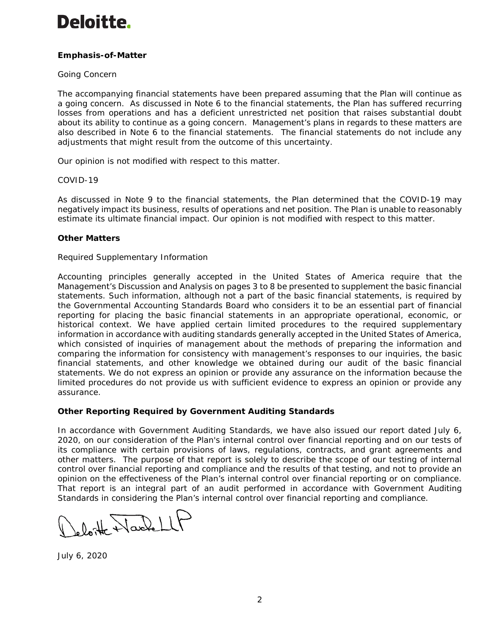# Deloitte.

# *Emphasis-of-Matter*

# *Going Concern*

The accompanying financial statements have been prepared assuming that the Plan will continue as a going concern. As discussed in Note 6 to the financial statements, the Plan has suffered recurring losses from operations and has a deficient unrestricted net position that raises substantial doubt about its ability to continue as a going concern. Management's plans in regards to these matters are also described in Note 6 to the financial statements. The financial statements do not include any adjustments that might result from the outcome of this uncertainty.

Our opinion is not modified with respect to this matter.

#### *COVID-19*

As discussed in Note 9 to the financial statements, the Plan determined that the COVID-19 may negatively impact its business, results of operations and net position. The Plan is unable to reasonably estimate its ultimate financial impact. Our opinion is not modified with respect to this matter.

#### *Other Matters*

#### *Required Supplementary Information*

Accounting principles generally accepted in the United States of America require that the Management's Discussion and Analysis on pages 3 to 8 be presented to supplement the basic financial statements. Such information, although not a part of the basic financial statements, is required by the Governmental Accounting Standards Board who considers it to be an essential part of financial reporting for placing the basic financial statements in an appropriate operational, economic, or historical context. We have applied certain limited procedures to the required supplementary information in accordance with auditing standards generally accepted in the United States of America, which consisted of inquiries of management about the methods of preparing the information and comparing the information for consistency with management's responses to our inquiries, the basic financial statements, and other knowledge we obtained during our audit of the basic financial statements. We do not express an opinion or provide any assurance on the information because the limited procedures do not provide us with sufficient evidence to express an opinion or provide any assurance.

#### **Other Reporting Required by** *Government Auditing Standards*

In accordance with *Government Auditing Standards*, we have also issued our report dated July 6, 2020, on our consideration of the Plan's internal control over financial reporting and on our tests of its compliance with certain provisions of laws, regulations, contracts, and grant agreements and other matters. The purpose of that report is solely to describe the scope of our testing of internal control over financial reporting and compliance and the results of that testing, and not to provide an opinion on the effectiveness of the Plan's internal control over financial reporting or on compliance. That report is an integral part of an audit performed in accordance with *Government Auditing Standards* in considering the Plan's internal control over financial reporting and compliance.

eloite Harlett

July 6, 2020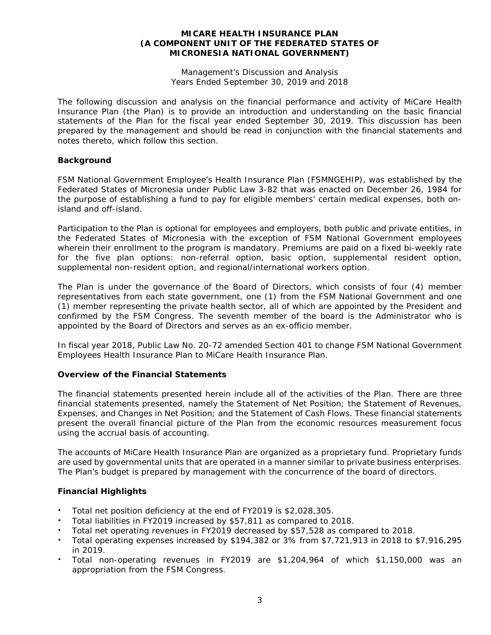Management's Discussion and Analysis Years Ended September 30, 2019 and 2018

The following discussion and analysis on the financial performance and activity of MiCare Health Insurance Plan (the Plan) is to provide an introduction and understanding on the basic financial statements of the Plan for the fiscal year ended September 30, 2019. This discussion has been prepared by the management and should be read in conjunction with the financial statements and notes thereto, which follow this section.

#### **Background**

FSM National Government Employee's Health Insurance Plan (FSMNGEHIP), was established by the Federated States of Micronesia under Public Law 3-82 that was enacted on December 26, 1984 for the purpose of establishing a fund to pay for eligible members' certain medical expenses, both onisland and off-island.

Participation to the Plan is optional for employees and employers, both public and private entities, in the Federated States of Micronesia with the exception of FSM National Government employees wherein their enrollment to the program is mandatory. Premiums are paid on a fixed bi-weekly rate for the five plan options: non-referral option, basic option, supplemental resident option, supplemental non-resident option, and regional/international workers option.

The Plan is under the governance of the Board of Directors, which consists of four (4) member representatives from each state government, one (1) from the FSM National Government and one (1) member representing the private health sector, all of which are appointed by the President and confirmed by the FSM Congress. The seventh member of the board is the Administrator who is appointed by the Board of Directors and serves as an ex-officio member.

In fiscal year 2018, Public Law No. 20-72 amended Section 401 to change FSM National Government Employees Health Insurance Plan to MiCare Health Insurance Plan.

### **Overview of the Financial Statements**

The financial statements presented herein include all of the activities of the Plan. There are three financial statements presented, namely the Statement of Net Position; the Statement of Revenues, Expenses, and Changes in Net Position; and the Statement of Cash Flows. These financial statements present the overall financial picture of the Plan from the economic resources measurement focus using the accrual basis of accounting.

The accounts of MiCare Health Insurance Plan are organized as a proprietary fund. Proprietary funds are used by governmental units that are operated in a manner similar to private business enterprises. The Plan's budget is prepared by management with the concurrence of the board of directors.

#### **Financial Highlights**

- Total net position deficiency at the end of FY2019 is \$2,028,305.
- Total liabilities in FY2019 increased by \$57,811 as compared to 2018.
- Total net operating revenues in FY2019 decreased by \$57,528 as compared to 2018.
- Total operating expenses increased by \$194,382 or 3% from \$7,721,913 in 2018 to \$7,916,295 in 2019.
- Total non-operating revenues in FY2019 are \$1,204,964 of which \$1,150,000 was an appropriation from the FSM Congress.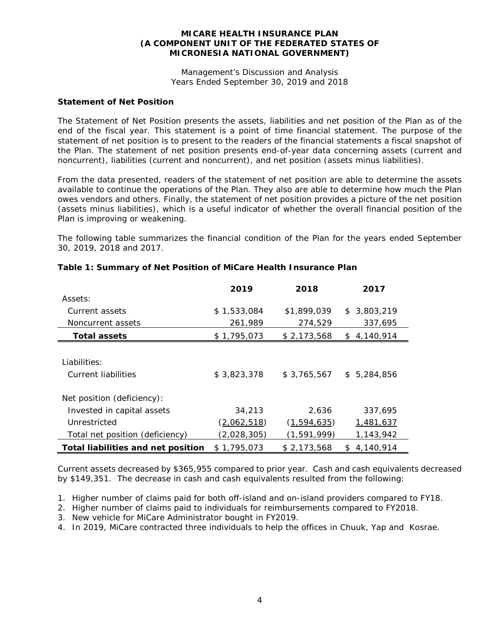Management's Discussion and Analysis Years Ended September 30, 2019 and 2018

#### **Statement of Net Position**

The Statement of Net Position presents the assets, liabilities and net position of the Plan as of the end of the fiscal year. This statement is a point of time financial statement. The purpose of the statement of net position is to present to the readers of the financial statements a fiscal snapshot of the Plan. The statement of net position presents end-of-year data concerning assets (current and noncurrent), liabilities (current and noncurrent), and net position (assets minus liabilities).

From the data presented, readers of the statement of net position are able to determine the assets available to continue the operations of the Plan. They also are able to determine how much the Plan owes vendors and others. Finally, the statement of net position provides a picture of the net position (assets minus liabilities), which is a useful indicator of whether the overall financial position of the Plan is improving or weakening.

The following table summarizes the financial condition of the Plan for the years ended September 30, 2019, 2018 and 2017.

|                                           | 2019        | 2018          | 2017        |
|-------------------------------------------|-------------|---------------|-------------|
| Assets:                                   |             |               |             |
| Current assets                            | \$1,533,084 | \$1,899,039   | \$3,803,219 |
| Noncurrent assets                         | 261,989     | 274,529       | 337,695     |
| <b>Total assets</b>                       | \$1,795,073 | \$2,173,568   | \$4,140,914 |
|                                           |             |               |             |
| Liabilities:                              |             |               |             |
| Current liabilities                       | \$3,823,378 | \$3,765,567   | \$5.284.856 |
| Net position (deficiency):                |             |               |             |
| Invested in capital assets                | 34,213      | 2,636         | 337,695     |
| Unrestricted                              | (2,062,518) | (1, 594, 635) | 1,481,637   |
| Total net position (deficiency)           | (2,028,305) | (1, 591, 999) | 1,143,942   |
| <b>Total liabilities and net position</b> | \$1,795,073 | \$2.173.568   | \$4,140,914 |

#### **Table 1: Summary of Net Position of MiCare Health Insurance Plan**

Current assets decreased by \$365,955 compared to prior year. Cash and cash equivalents decreased by \$149,351. The decrease in cash and cash equivalents resulted from the following:

1. Higher number of claims paid for both off-island and on-island providers compared to FY18.

- 2. Higher number of claims paid to individuals for reimbursements compared to FY2018.
- 3. New vehicle for MiCare Administrator bought in FY2019.
- 4. In 2019, MiCare contracted three individuals to help the offices in Chuuk, Yap and Kosrae.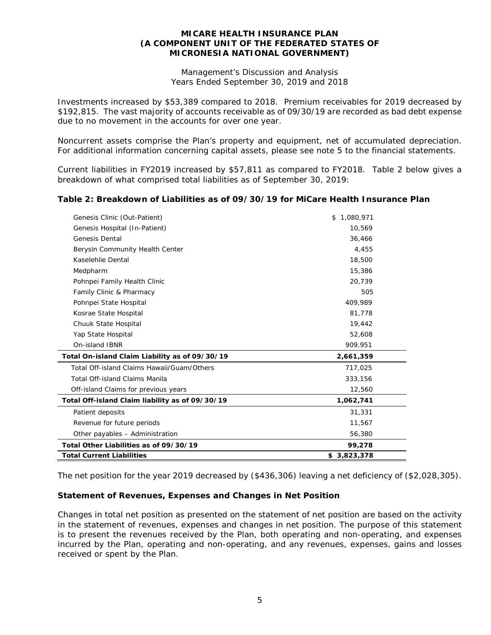Management's Discussion and Analysis Years Ended September 30, 2019 and 2018

Investments increased by \$53,389 compared to 2018. Premium receivables for 2019 decreased by \$192,815. The vast majority of accounts receivable as of 09/30/19 are recorded as bad debt expense due to no movement in the accounts for over one year.

Noncurrent assets comprise the Plan's property and equipment, net of accumulated depreciation. For additional information concerning capital assets, please see note 5 to the financial statements.

Current liabilities in FY2019 increased by \$57,811 as compared to FY2018. Table 2 below gives a breakdown of what comprised total liabilities as of September 30, 2019:

#### **Table 2: Breakdown of Liabilities as of 09/30/19 for MiCare Health Insurance Plan**

| Genesis Clinic (Out-Patient)                    | 1,080,971<br>\$ |  |
|-------------------------------------------------|-----------------|--|
| Genesis Hospital (In-Patient)                   | 10,569          |  |
| <b>Genesis Dental</b>                           | 36,466          |  |
| Berysin Community Health Center                 | 4,455           |  |
| Kaselehlie Dental                               | 18,500          |  |
| Medpharm                                        | 15,386          |  |
| Pohnpei Family Health Clinic                    | 20,739          |  |
| Family Clinic & Pharmacy                        | 505             |  |
| Pohnpei State Hospital                          | 409,989         |  |
| Kosrae State Hospital                           | 81,778          |  |
| Chuuk State Hospital                            | 19,442          |  |
| Yap State Hospital                              | 52,608          |  |
| On-island IBNR                                  | 909,951         |  |
| Total On-island Claim Liability as of 09/30/19  | 2,661,359       |  |
| Total Off-island Claims Hawaii/Guam/Others      | 717,025         |  |
| <b>Total Off-island Claims Manila</b>           | 333,156         |  |
| Off-island Claims for previous years            | 12,560          |  |
| Total Off-island Claim liability as of 09/30/19 | 1,062,741       |  |
| Patient deposits                                | 31,331          |  |
| Revenue for future periods                      | 11,567          |  |
| Other payables - Administration                 | 56,380          |  |
| Total Other Liabilities as of 09/30/19          | 99,278          |  |
| <b>Total Current Liabilities</b>                | \$3,823,378     |  |

The net position for the year 2019 decreased by (\$436,306) leaving a net deficiency of (\$2,028,305).

#### **Statement of Revenues, Expenses and Changes in Net Position**

Changes in total net position as presented on the statement of net position are based on the activity in the statement of revenues, expenses and changes in net position. The purpose of this statement is to present the revenues received by the Plan, both operating and non-operating, and expenses incurred by the Plan, operating and non-operating, and any revenues, expenses, gains and losses received or spent by the Plan.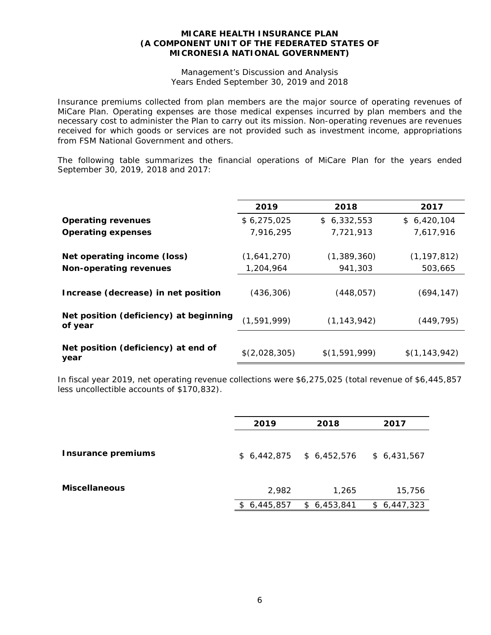#### Management's Discussion and Analysis Years Ended September 30, 2019 and 2018

Insurance premiums collected from plan members are the major source of operating revenues of MiCare Plan. Operating expenses are those medical expenses incurred by plan members and the necessary cost to administer the Plan to carry out its mission. Non-operating revenues are revenues received for which goods or services are not provided such as investment income, appropriations from FSM National Government and others.

The following table summarizes the financial operations of MiCare Plan for the years ended September 30, 2019, 2018 and 2017:

|                                                   | 2019          | 2018          | 2017            |
|---------------------------------------------------|---------------|---------------|-----------------|
| <b>Operating revenues</b>                         | \$6,275,025   | \$6,332,553   | \$6,420,104     |
| <b>Operating expenses</b>                         | 7,916,295     | 7,721,913     | 7,617,916       |
| Net operating income (loss)                       | (1,641,270)   | (1,389,360)   | (1, 197, 812)   |
| <b>Non-operating revenues</b>                     | 1,204,964     | 941,303       | 503,665         |
| Increase (decrease) in net position               | (436, 306)    | (448, 057)    | (694, 147)      |
| Net position (deficiency) at beginning<br>of year | (1, 591, 999) | (1, 143, 942) | (449, 795)      |
| Net position (deficiency) at end of<br>year       | \$(2,028,305) | \$(1,591,999) | \$(1, 143, 942) |

In fiscal year 2019, net operating revenue collections were \$6,275,025 (total revenue of \$6,445,857 less uncollectible accounts of \$170,832).

| 2019        |             |              |
|-------------|-------------|--------------|
|             | 2018        | 2017         |
|             |             |              |
|             |             | \$6,431,567  |
| 2,982       | 1,265       | 15,756       |
| \$6,445,857 | \$6,453,841 | \$6,447,323  |
|             | \$6,442,875 | \$ 6,452,576 |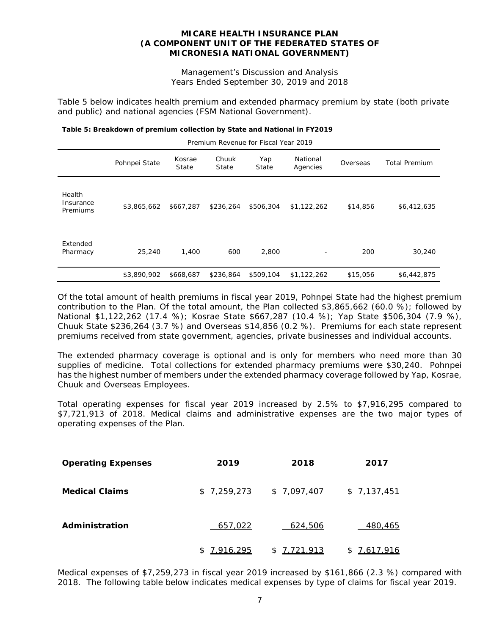Management's Discussion and Analysis Years Ended September 30, 2019 and 2018

Table 5 below indicates health premium and extended pharmacy premium by state (both private and public) and national agencies (FSM National Government).

|                                 | Premium Revenue for Fiscal Year 2019                                                                   |           |           |           |                          |                      |             |
|---------------------------------|--------------------------------------------------------------------------------------------------------|-----------|-----------|-----------|--------------------------|----------------------|-------------|
|                                 | National<br>Kosrae<br>Chuuk<br>Yap<br>Pohnpei State<br>Overseas<br>State<br>State<br>State<br>Agencies |           |           |           |                          | <b>Total Premium</b> |             |
| Health<br>Insurance<br>Premiums | \$3,865,662                                                                                            | \$667,287 | \$236,264 | \$506,304 | \$1,122,262              | \$14,856             | \$6,412,635 |
| Extended<br>Pharmacy            | 25,240                                                                                                 | 1,400     | 600       | 2,800     | $\overline{\phantom{a}}$ | 200                  | 30,240      |
|                                 | \$3,890,902                                                                                            | \$668,687 | \$236,864 | \$509,104 | \$1,122,262              | \$15,056             | \$6,442,875 |

Of the total amount of health premiums in fiscal year 2019, Pohnpei State had the highest premium contribution to the Plan. Of the total amount, the Plan collected \$3,865,662 (60.0 %); followed by National \$1,122,262 (17.4 %); Kosrae State \$667,287 (10.4 %); Yap State \$506,304 (7.9 %), Chuuk State \$236,264 (3.7 %) and Overseas \$14,856 (0.2 %). Premiums for each state represent premiums received from state government, agencies, private businesses and individual accounts.

The extended pharmacy coverage is optional and is only for members who need more than 30 supplies of medicine. Total collections for extended pharmacy premiums were \$30,240. Pohnpei has the highest number of members under the extended pharmacy coverage followed by Yap, Kosrae, Chuuk and Overseas Employees.

Total operating expenses for fiscal year 2019 increased by 2.5% to \$7,916,295 compared to \$7,721,913 of 2018. Medical claims and administrative expenses are the two major types of operating expenses of the Plan.

| <b>Operating Expenses</b> | 2019        | 2018        | 2017        |
|---------------------------|-------------|-------------|-------------|
| <b>Medical Claims</b>     | \$7,259,273 | \$7,097,407 | \$7,137,451 |
| Administration            | 657,022     | 624,506     | 480,465     |
|                           | \$7.916.295 | \$7,721,913 | \$7,617,916 |

Medical expenses of \$7,259,273 in fiscal year 2019 increased by \$161,866 (2.3 %) compared with 2018. The following table below indicates medical expenses by type of claims for fiscal year 2019.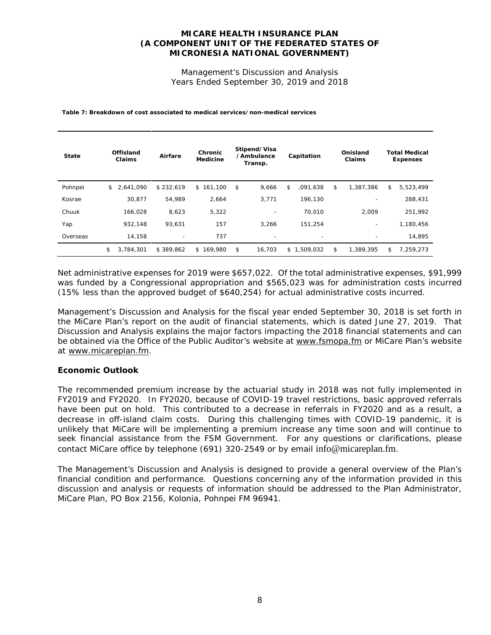Management's Discussion and Analysis Years Ended September 30, 2019 and 2018

**Table 7: Breakdown of cost associated to medical services/non-medical services**

| <b>State</b> | Offisland<br>Claims | Airfare   | Chronic<br><b>Medicine</b> | Stipend/Visa<br>/Ambulance<br>Transp. | Capitation     | Onisland<br>Claims       | <b>Total Medical</b><br><b>Expenses</b> |
|--------------|---------------------|-----------|----------------------------|---------------------------------------|----------------|--------------------------|-----------------------------------------|
| Pohnpei      | 2,641,090<br>\$     | \$232,619 | \$161,100                  | \$<br>9,666                           | ,091,638<br>\$ | \$<br>1,387,386          | 5,523,499<br>\$                         |
| Kosrae       | 30,877              | 54.989    | 2.664                      | 3.771                                 | 196.130        | $\overline{\phantom{a}}$ | 288,431                                 |
| Chuuk        | 166.028             | 8,623     | 5,322                      | $\overline{\phantom{a}}$              | 70.010         | 2.009                    | 251,992                                 |
| Yap          | 932.148             | 93,631    | 157                        | 3.266                                 | 151.254        | $\overline{\phantom{a}}$ | 1,180,456                               |
| Overseas     | 14,158              |           | 737                        |                                       | -              |                          | 14,895                                  |
|              | \$<br>3.784.301     | \$389,862 | 169.980<br>\$              | \$<br>16.703                          | \$1,509,032    | 1,389,395<br>\$          | 7,259,273<br>\$                         |

Net administrative expenses for 2019 were \$657,022. Of the total administrative expenses, \$91,999 was funded by a Congressional appropriation and \$565,023 was for administration costs incurred (15% less than the approved budget of \$640,254) for actual administrative costs incurred.

Management's Discussion and Analysis for the fiscal year ended September 30, 2018 is set forth in the MiCare Plan's report on the audit of financial statements, which is dated June 27, 2019. That Discussion and Analysis explains the major factors impacting the 2018 financial statements and can be obtained via the Office of the Public Auditor's website at [www.fsmopa.fm](http://www.fsmopa.fm/) or MiCare Plan's website at [www.micareplan.fm.](http://www.micareplan.fm/)

#### **Economic Outlook**

The recommended premium increase by the actuarial study in 2018 was not fully implemented in FY2019 and FY2020. In FY2020, because of COVID-19 travel restrictions, basic approved referrals have been put on hold. This contributed to a decrease in referrals in FY2020 and as a result, a decrease in off-island claim costs. During this challenging times with COVID-19 pandemic, it is unlikely that MiCare will be implementing a premium increase any time soon and will continue to seek financial assistance from the FSM Government. For any questions or clarifications, please contact MiCare office by telephone (691) 320-2549 or by email [info@micareplan.fm](mailto:info@micareplan.fm).

The Management's Discussion and Analysis is designed to provide a general overview of the Plan's financial condition and performance. Questions concerning any of the information provided in this discussion and analysis or requests of information should be addressed to the Plan Administrator, MiCare Plan, PO Box 2156, Kolonia, Pohnpei FM 96941.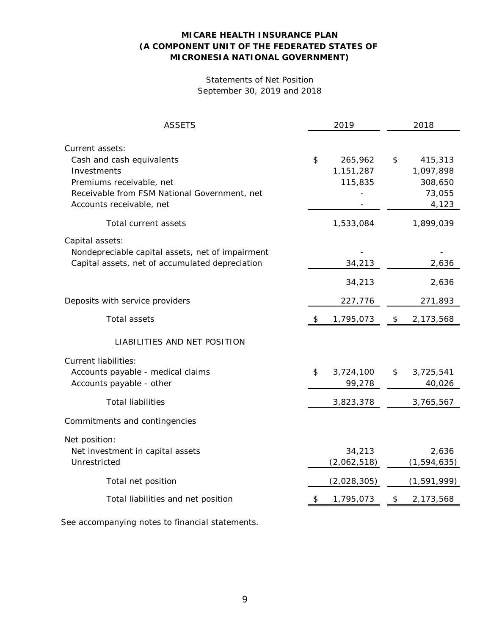# Statements of Net Position September 30, 2019 and 2018

| <b>ASSETS</b>                                                                                                                                                       |     | 2019                             | 2018 |                                                    |
|---------------------------------------------------------------------------------------------------------------------------------------------------------------------|-----|----------------------------------|------|----------------------------------------------------|
|                                                                                                                                                                     |     |                                  |      |                                                    |
| Current assets:<br>Cash and cash equivalents<br>Investments<br>Premiums receivable, net<br>Receivable from FSM National Government, net<br>Accounts receivable, net | \$  | 265,962<br>1,151,287<br>115,835  | \$   | 415,313<br>1,097,898<br>308,650<br>73,055<br>4,123 |
| Total current assets                                                                                                                                                |     | 1,533,084                        |      | 1,899,039                                          |
| Capital assets:<br>Nondepreciable capital assets, net of impairment<br>Capital assets, net of accumulated depreciation                                              |     | 34,213<br>34,213                 |      | 2,636<br>2,636                                     |
| Deposits with service providers                                                                                                                                     |     | 227,776                          |      | 271,893                                            |
| <b>Total assets</b>                                                                                                                                                 |     | 1,795,073                        | \$   | 2,173,568                                          |
| <b>LIABILITIES AND NET POSITION</b>                                                                                                                                 |     |                                  |      |                                                    |
| <b>Current liabilities:</b><br>Accounts payable - medical claims<br>Accounts payable - other<br><b>Total liabilities</b>                                            | \$. | 3,724,100<br>99,278<br>3,823,378 | \$   | 3,725,541<br>40,026<br>3,765,567                   |
| Commitments and contingencies                                                                                                                                       |     |                                  |      |                                                    |
| Net position:<br>Net investment in capital assets<br>Unrestricted                                                                                                   |     | 34,213<br>(2,062,518)            |      | 2,636<br>(1, 594, 635)                             |
| Total net position                                                                                                                                                  |     | (2,028,305)                      |      | (1, 591, 999)                                      |
| Total liabilities and net position                                                                                                                                  | \$  | 1,795,073                        | \$   | 2,173,568                                          |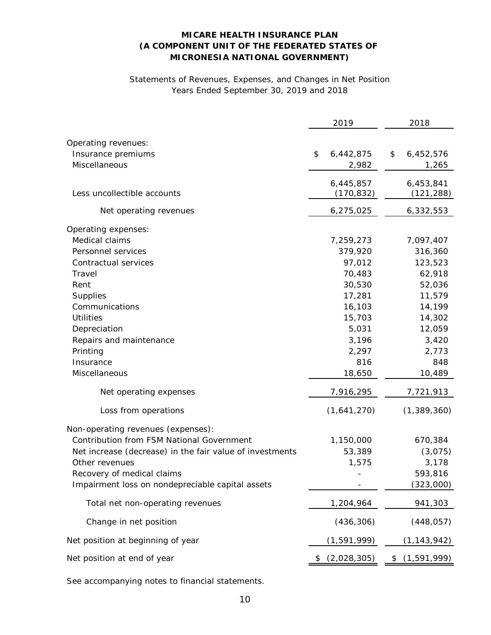# Statements of Revenues, Expenses, and Changes in Net Position Years Ended September 30, 2019 and 2018

|                                                          | 2019            | 2018                |
|----------------------------------------------------------|-----------------|---------------------|
|                                                          |                 |                     |
| Operating revenues:                                      |                 |                     |
| Insurance premiums                                       | \$<br>6,442,875 | 6,452,576<br>\$     |
| <b>Miscellaneous</b>                                     | 2,982           | 1,265               |
|                                                          | 6,445,857       | 6,453,841           |
| Less uncollectible accounts                              | (170, 832)      | (121, 288)          |
| Net operating revenues                                   | 6,275,025       | 6,332,553           |
| Operating expenses:                                      |                 |                     |
| Medical claims                                           | 7,259,273       | 7,097,407           |
| Personnel services                                       | 379,920         | 316,360             |
| Contractual services                                     | 97,012          | 123,523             |
| Travel                                                   | 70,483          | 62,918              |
| Rent                                                     | 30,530          | 52,036              |
| Supplies                                                 | 17,281          | 11,579              |
| Communications                                           | 16,103          | 14,199              |
| <b>Utilities</b>                                         | 15,703          | 14,302              |
| Depreciation                                             | 5,031           | 12,059              |
| Repairs and maintenance                                  | 3,196           | 3,420               |
| Printing                                                 | 2,297           | 2,773               |
| Insurance                                                | 816             | 848                 |
| Miscellaneous                                            | 18,650          | 10,489              |
| Net operating expenses                                   | 7,916,295       | 7,721,913           |
| Loss from operations                                     | (1,641,270)     | (1, 389, 360)       |
| Non-operating revenues (expenses):                       |                 |                     |
| <b>Contribution from FSM National Government</b>         | 1,150,000       | 670,384             |
| Net increase (decrease) in the fair value of investments | 53,389          | (3,075)             |
| Other revenues                                           | 1,575           | 3,178               |
| Recovery of medical claims                               |                 | 593,816             |
| Impairment loss on nondepreciable capital assets         |                 | (323,000)           |
| Total net non-operating revenues                         | 1,204,964       | 941,303             |
| Change in net position                                   | (436, 306)      | (448, 057)          |
| Net position at beginning of year                        | (1,591,999)     | (1, 143, 942)       |
| Net position at end of year                              | (2,028,305)     | (1, 591, 999)<br>\$ |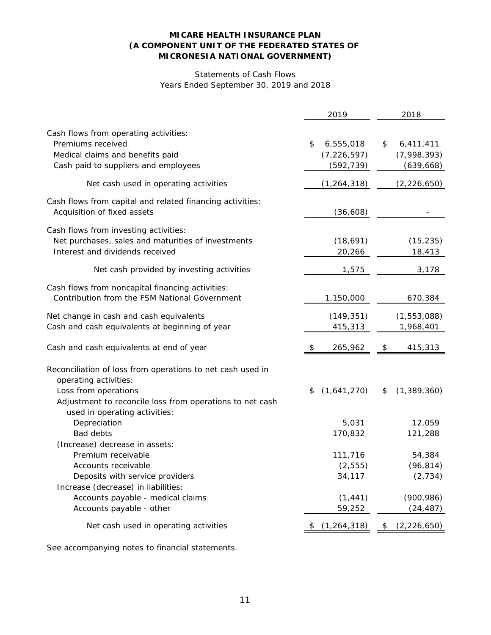Statements of Cash Flows Years Ended September 30, 2019 and 2018

|                                                                                                                                                                                                          | 2019                                           | 2018                                         |
|----------------------------------------------------------------------------------------------------------------------------------------------------------------------------------------------------------|------------------------------------------------|----------------------------------------------|
| Cash flows from operating activities:<br>Premiums received<br>Medical claims and benefits paid<br>Cash paid to suppliers and employees                                                                   | \$<br>6,555,018<br>(7, 226, 597)<br>(592, 739) | 6,411,411<br>\$<br>(7,998,393)<br>(639, 668) |
| Net cash used in operating activities                                                                                                                                                                    | (1, 264, 318)                                  | (2, 226, 650)                                |
| Cash flows from capital and related financing activities:<br>Acquisition of fixed assets                                                                                                                 | (36, 608)                                      |                                              |
| Cash flows from investing activities:<br>Net purchases, sales and maturities of investments<br>Interest and dividends received                                                                           | (18,691)<br>20,266                             | (15, 235)<br>18,413                          |
| Net cash provided by investing activities                                                                                                                                                                | 1,575                                          | 3,178                                        |
| Cash flows from noncapital financing activities:<br>Contribution from the FSM National Government                                                                                                        | 1,150,000                                      | 670,384                                      |
| Net change in cash and cash equivalents<br>Cash and cash equivalents at beginning of year                                                                                                                | (149, 351)<br>415,313                          | (1,553,088)<br>1,968,401                     |
| Cash and cash equivalents at end of year                                                                                                                                                                 | 265,962<br>\$                                  | 415,313<br>\$                                |
| Reconciliation of loss from operations to net cash used in<br>operating activities:<br>Loss from operations<br>Adjustment to reconcile loss from operations to net cash<br>used in operating activities: | (1,641,270)<br>\$                              | (1,389,360)<br>\$                            |
| Depreciation<br><b>Bad debts</b><br>(Increase) decrease in assets:                                                                                                                                       | 5,031<br>170,832                               | 12,059<br>121,288                            |
| Premium receivable<br>Accounts receivable<br>Deposits with service providers                                                                                                                             | 111,716<br>(2, 555)<br>34,117                  | 54,384<br>(96, 814)<br>(2, 734)              |
| Increase (decrease) in liabilities:<br>Accounts payable - medical claims<br>Accounts payable - other                                                                                                     | (1, 441)<br>59,252                             | (900, 986)<br>(24, 487)                      |
| Net cash used in operating activities                                                                                                                                                                    | (1, 264, 318)<br>\$                            | (2, 226, 650)<br>$\frac{1}{2}$               |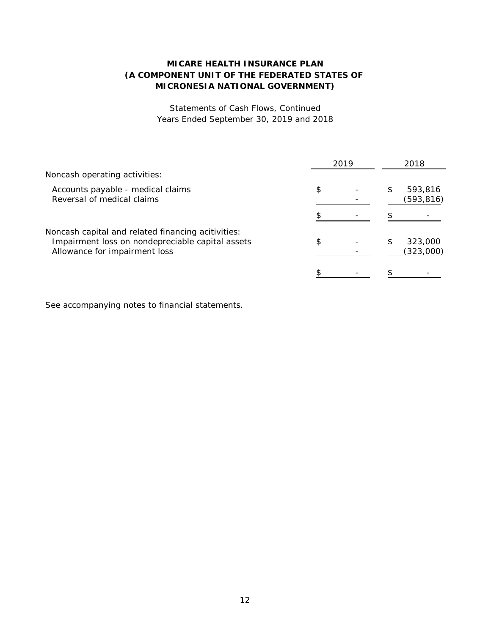Statements of Cash Flows, Continued Years Ended September 30, 2019 and 2018

|                                                                                                                                         |    | 2019 |   | 2018                  |
|-----------------------------------------------------------------------------------------------------------------------------------------|----|------|---|-----------------------|
| Noncash operating activities:                                                                                                           |    |      |   |                       |
| Accounts payable - medical claims<br>Reversal of medical claims                                                                         | \$ |      | S | 593,816<br>(593, 816) |
|                                                                                                                                         |    |      |   |                       |
| Noncash capital and related financing acitivities:<br>Impairment loss on nondepreciable capital assets<br>Allowance for impairment loss | £  |      | S | 323,000<br>(323,000)  |
|                                                                                                                                         |    |      |   |                       |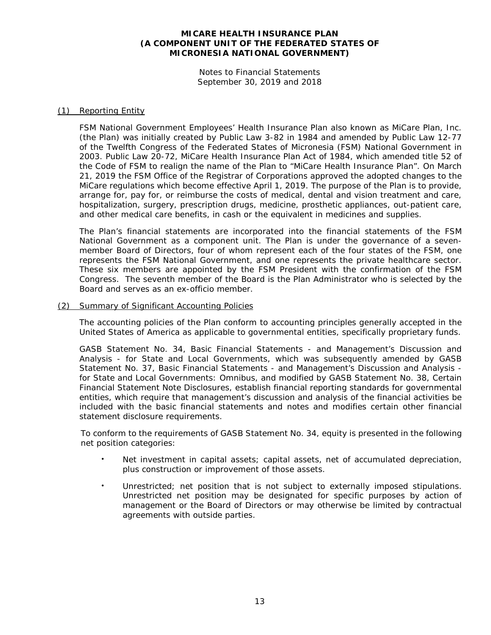Notes to Financial Statements September 30, 2019 and 2018

#### (1) Reporting Entity

FSM National Government Employees' Health Insurance Plan also known as MiCare Plan, Inc. (the Plan) was initially created by Public Law 3-82 in 1984 and amended by Public Law 12-77 of the Twelfth Congress of the Federated States of Micronesia (FSM) National Government in 2003. Public Law 20-72, MiCare Health Insurance Plan Act of 1984, which amended title 52 of the Code of FSM to realign the name of the Plan to "MiCare Health Insurance Plan". On March 21, 2019 the FSM Office of the Registrar of Corporations approved the adopted changes to the MiCare regulations which become effective April 1, 2019. The purpose of the Plan is to provide, arrange for, pay for, or reimburse the costs of medical, dental and vision treatment and care, hospitalization, surgery, prescription drugs, medicine, prosthetic appliances, out-patient care, and other medical care benefits, in cash or the equivalent in medicines and supplies.

The Plan's financial statements are incorporated into the financial statements of the FSM National Government as a component unit. The Plan is under the governance of a sevenmember Board of Directors, four of whom represent each of the four states of the FSM, one represents the FSM National Government, and one represents the private healthcare sector. These six members are appointed by the FSM President with the confirmation of the FSM Congress. The seventh member of the Board is the Plan Administrator who is selected by the Board and serves as an ex-officio member.

#### (2) Summary of Significant Accounting Policies

The accounting policies of the Plan conform to accounting principles generally accepted in the United States of America as applicable to governmental entities, specifically proprietary funds.

GASB Statement No. 34, *Basic Financial Statements - and Management's Discussion and Analysis - for State and Local Governments*, which was subsequently amended by GASB Statement No. 37, *Basic Financial Statements - and Management's Discussion and Analysis for State and Local Governments: Omnibus*, and modified by GASB Statement No. 38, *Certain Financial Statement Note Disclosures,* establish financial reporting standards for governmental entities, which require that management's discussion and analysis of the financial activities be included with the basic financial statements and notes and modifies certain other financial statement disclosure requirements.

To conform to the requirements of GASB Statement No. 34, equity is presented in the following net position categories:

- Net investment in capital assets; capital assets, net of accumulated depreciation, plus construction or improvement of those assets.
- Unrestricted; net position that is not subject to externally imposed stipulations. Unrestricted net position may be designated for specific purposes by action of management or the Board of Directors or may otherwise be limited by contractual agreements with outside parties.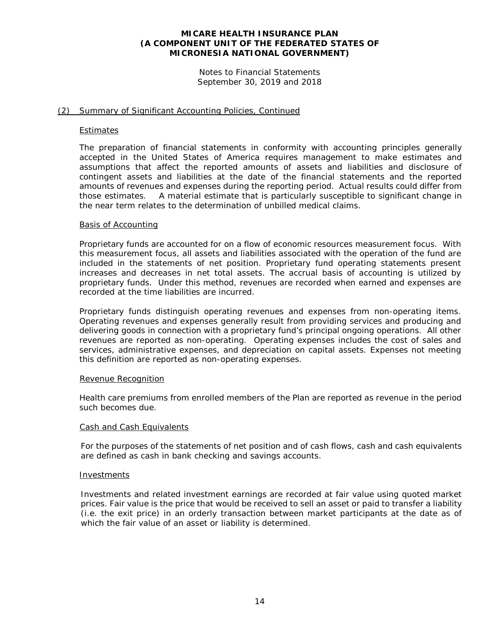Notes to Financial Statements September 30, 2019 and 2018

#### (2) Summary of Significant Accounting Policies, Continued

#### **Estimates**

The preparation of financial statements in conformity with accounting principles generally accepted in the United States of America requires management to make estimates and assumptions that affect the reported amounts of assets and liabilities and disclosure of contingent assets and liabilities at the date of the financial statements and the reported amounts of revenues and expenses during the reporting period. Actual results could differ from those estimates. A material estimate that is particularly susceptible to significant change in the near term relates to the determination of unbilled medical claims.

#### Basis of Accounting

Proprietary funds are accounted for on a flow of economic resources measurement focus. With this measurement focus, all assets and liabilities associated with the operation of the fund are included in the statements of net position. Proprietary fund operating statements present increases and decreases in net total assets. The accrual basis of accounting is utilized by proprietary funds. Under this method, revenues are recorded when earned and expenses are recorded at the time liabilities are incurred.

Proprietary funds distinguish operating revenues and expenses from non-operating items. Operating revenues and expenses generally result from providing services and producing and delivering goods in connection with a proprietary fund's principal ongoing operations. All other revenues are reported as non-operating. Operating expenses includes the cost of sales and services, administrative expenses, and depreciation on capital assets. Expenses not meeting this definition are reported as non-operating expenses.

#### Revenue Recognition

Health care premiums from enrolled members of the Plan are reported as revenue in the period such becomes due.

#### Cash and Cash Equivalents

For the purposes of the statements of net position and of cash flows, cash and cash equivalents are defined as cash in bank checking and savings accounts.

#### **Investments**

Investments and related investment earnings are recorded at fair value using quoted market prices. Fair value is the price that would be received to sell an asset or paid to transfer a liability (i.e. the exit price) in an orderly transaction between market participants at the date as of which the fair value of an asset or liability is determined.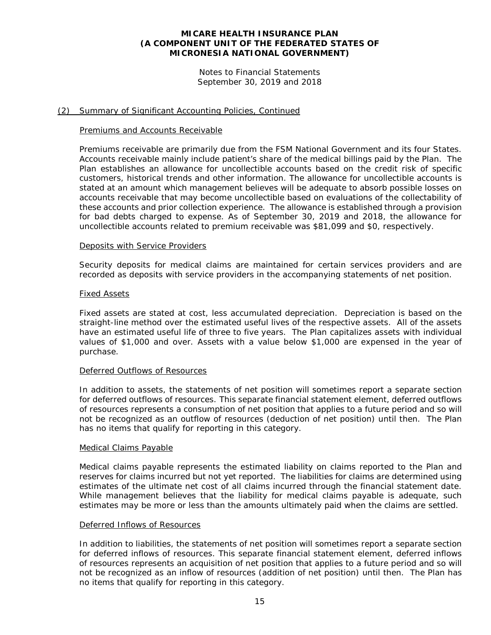Notes to Financial Statements September 30, 2019 and 2018

#### (2) Summary of Significant Accounting Policies, Continued

#### Premiums and Accounts Receivable

Premiums receivable are primarily due from the FSM National Government and its four States. Accounts receivable mainly include patient's share of the medical billings paid by the Plan. The Plan establishes an allowance for uncollectible accounts based on the credit risk of specific customers, historical trends and other information. The allowance for uncollectible accounts is stated at an amount which management believes will be adequate to absorb possible losses on accounts receivable that may become uncollectible based on evaluations of the collectability of these accounts and prior collection experience. The allowance is established through a provision for bad debts charged to expense. As of September 30, 2019 and 2018, the allowance for uncollectible accounts related to premium receivable was \$81,099 and \$0, respectively.

#### Deposits with Service Providers

Security deposits for medical claims are maintained for certain services providers and are recorded as deposits with service providers in the accompanying statements of net position.

#### Fixed Assets

Fixed assets are stated at cost, less accumulated depreciation. Depreciation is based on the straight-line method over the estimated useful lives of the respective assets. All of the assets have an estimated useful life of three to five years. The Plan capitalizes assets with individual values of \$1,000 and over. Assets with a value below \$1,000 are expensed in the year of purchase.

#### Deferred Outflows of Resources

In addition to assets, the statements of net position will sometimes report a separate section for deferred outflows of resources. This separate financial statement element, deferred outflows of resources represents a consumption of net position that applies to a future period and so will not be recognized as an outflow of resources (deduction of net position) until then. The Plan has no items that qualify for reporting in this category.

#### Medical Claims Payable

Medical claims payable represents the estimated liability on claims reported to the Plan and reserves for claims incurred but not yet reported. The liabilities for claims are determined using estimates of the ultimate net cost of all claims incurred through the financial statement date. While management believes that the liability for medical claims payable is adequate, such estimates may be more or less than the amounts ultimately paid when the claims are settled.

#### Deferred Inflows of Resources

In addition to liabilities, the statements of net position will sometimes report a separate section for deferred inflows of resources. This separate financial statement element, deferred inflows of resources represents an acquisition of net position that applies to a future period and so will not be recognized as an inflow of resources (addition of net position) until then. The Plan has no items that qualify for reporting in this category.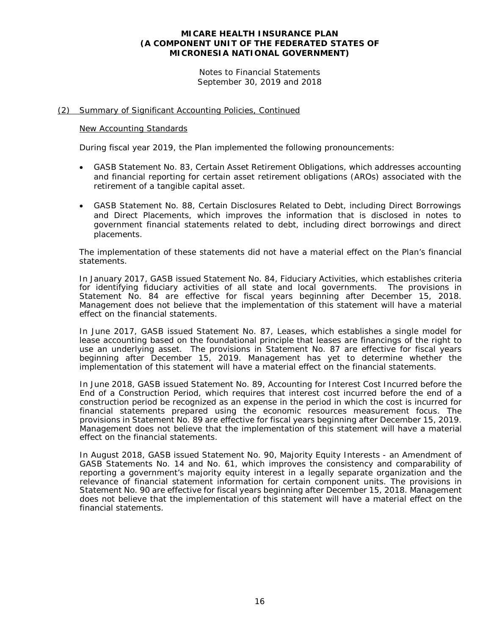Notes to Financial Statements September 30, 2019 and 2018

#### (2) Summary of Significant Accounting Policies, Continued

#### New Accounting Standards

During fiscal year 2019, the Plan implemented the following pronouncements:

- GASB Statement No. 83, *Certain Asset Retirement Obligations*, which addresses accounting and financial reporting for certain asset retirement obligations (AROs) associated with the retirement of a tangible capital asset.
- GASB Statement No. 88, *Certain Disclosures Related to Debt, including Direct Borrowings and Direct Placements*, which improves the information that is disclosed in notes to government financial statements related to debt, including direct borrowings and direct placements.

The implementation of these statements did not have a material effect on the Plan's financial statements.

In January 2017, GASB issued Statement No. 84, *Fiduciary Activities*, which establishes criteria for identifying fiduciary activities of all state and local governments. The provisions in Statement No. 84 are effective for fiscal years beginning after December 15, 2018. Management does not believe that the implementation of this statement will have a material effect on the financial statements.

In June 2017, GASB issued Statement No. 87, *Leases*, which establishes a single model for lease accounting based on the foundational principle that leases are financings of the right to use an underlying asset. The provisions in Statement No. 87 are effective for fiscal years beginning after December 15, 2019. Management has yet to determine whether the implementation of this statement will have a material effect on the financial statements.

In June 2018, GASB issued Statement No. 89, *Accounting for Interest Cost Incurred before the End of a Construction Period*, which requires that interest cost incurred before the end of a construction period be recognized as an expense in the period in which the cost is incurred for financial statements prepared using the economic resources measurement focus. The provisions in Statement No. 89 are effective for fiscal years beginning after December 15, 2019. Management does not believe that the implementation of this statement will have a material effect on the financial statements.

In August 2018, GASB issued Statement No. 90, *Majority Equity Interests - an Amendment of GASB Statements No. 14 and No. 61,* which improves the consistency and comparability of reporting a government's majority equity interest in a legally separate organization and the relevance of financial statement information for certain component units. The provisions in Statement No. 90 are effective for fiscal years beginning after December 15, 2018. Management does not believe that the implementation of this statement will have a material effect on the financial statements.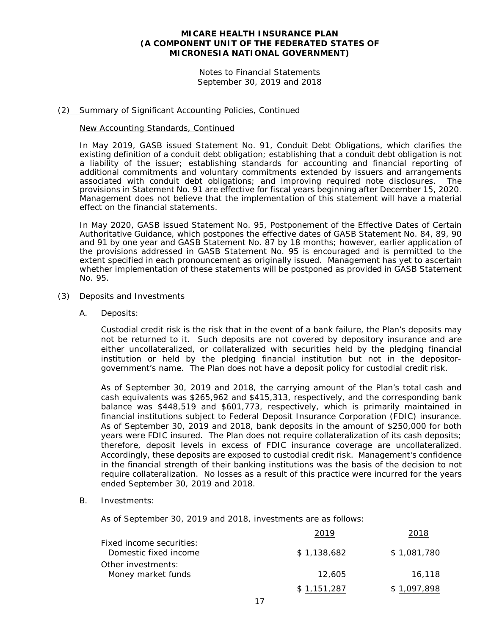Notes to Financial Statements September 30, 2019 and 2018

#### (2) Summary of Significant Accounting Policies, Continued

#### New Accounting Standards, Continued

In May 2019, GASB issued Statement No. 91, *Conduit Debt Obligations*, which clarifies the existing definition of a conduit debt obligation; establishing that a conduit debt obligation is not a liability of the issuer; establishing standards for accounting and financial reporting of additional commitments and voluntary commitments extended by issuers and arrangements associated with conduit debt obligations; and improving required note disclosures. The provisions in Statement No. 91 are effective for fiscal years beginning after December 15, 2020. Management does not believe that the implementation of this statement will have a material effect on the financial statements.

In May 2020, GASB issued Statement No. 95, *Postponement of the Effective Dates of Certain Authoritative Guidance*, which postpones the effective dates of GASB Statement No. 84, 89, 90 and 91 by one year and GASB Statement No. 87 by 18 months; however, earlier application of the provisions addressed in GASB Statement No. 95 is encouraged and is permitted to the extent specified in each pronouncement as originally issued. Management has yet to ascertain whether implementation of these statements will be postponed as provided in GASB Statement No. 95.

#### (3) Deposits and Investments

A. Deposits:

Custodial credit risk is the risk that in the event of a bank failure, the Plan's deposits may not be returned to it. Such deposits are not covered by depository insurance and are either uncollateralized, or collateralized with securities held by the pledging financial institution or held by the pledging financial institution but not in the depositorgovernment's name. The Plan does not have a deposit policy for custodial credit risk.

As of September 30, 2019 and 2018, the carrying amount of the Plan's total cash and cash equivalents was \$265,962 and \$415,313, respectively, and the corresponding bank balance was \$448,519 and \$601,773, respectively, which is primarily maintained in financial institutions subject to Federal Deposit Insurance Corporation (FDIC) insurance. As of September 30, 2019 and 2018, bank deposits in the amount of \$250,000 for both years were FDIC insured. The Plan does not require collateralization of its cash deposits; therefore, deposit levels in excess of FDIC insurance coverage are uncollateralized. Accordingly, these deposits are exposed to custodial credit risk. Management's confidence in the financial strength of their banking institutions was the basis of the decision to not require collateralization. No losses as a result of this practice were incurred for the years ended September 30, 2019 and 2018.

#### B. Investments:

As of September 30, 2019 and 2018, investments are as follows:

|                                                   | 2019        | 2018        |
|---------------------------------------------------|-------------|-------------|
| Fixed income securities:<br>Domestic fixed income | \$1.138.682 | \$1,081,780 |
| Other investments:<br>Money market funds          | 12,605      | 16.118      |
|                                                   | \$1,151,287 | \$1,097,898 |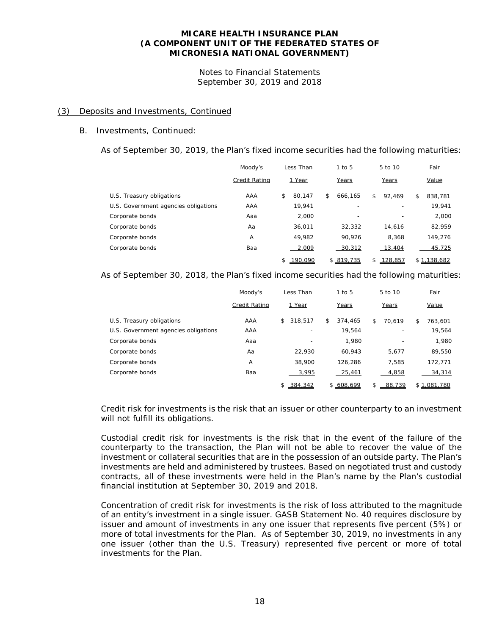Notes to Financial Statements September 30, 2019 and 2018

#### (3) Deposits and Investments, Continued

#### B. Investments, Continued:

As of September 30, 2019, the Plan's fixed income securities had the following maturities:

|                                      | Moody's       | Less Than     | $1$ to $5$    | 5 to 10        | Fair          |
|--------------------------------------|---------------|---------------|---------------|----------------|---------------|
|                                      | Credit Rating | 1 Year        | Years         | Years          | Value         |
| U.S. Treasury obligations            | AAA           | \$<br>80.147  | \$<br>666.165 | \$<br>92.469   | \$<br>838.781 |
| U.S. Government agencies obligations | AAA           | 19.941        |               | $\overline{a}$ | 19,941        |
| Corporate bonds                      | Aaa           | 2.000         |               | $\overline{a}$ | 2.000         |
| Corporate bonds                      | Aa            | 36.011        | 32,332        | 14.616         | 82,959        |
| Corporate bonds                      | Α             | 49.982        | 90.926        | 8.368          | 149.276       |
| Corporate bonds                      | Baa           | 2,009         | 30,312        | 13,404         | 45,725        |
|                                      |               | \$<br>190.090 | \$819,735     | 128,857        | \$1.138.682   |

As of September 30, 2018, the Plan's fixed income securities had the following maturities:

|                                      | Moody's       | Less Than                | $1$ to $5$    | 5 to 10      | Fair          |
|--------------------------------------|---------------|--------------------------|---------------|--------------|---------------|
|                                      | Credit Rating | 1 Year                   | Years         | Years        | Value         |
| U.S. Treasury obligations            | AAA           | 318.517<br>\$            | \$<br>374,465 | 70.619<br>\$ | 763.601<br>\$ |
| U.S. Government agencies obligations | AAA           | $\overline{\phantom{0}}$ | 19.564        |              | 19.564        |
| Corporate bonds                      | Aaa           |                          | 1.980         |              | 1.980         |
| Corporate bonds                      | Aa            | 22,930                   | 60.943        | 5,677        | 89,550        |
| Corporate bonds                      | A             | 38,900                   | 126.286       | 7.585        | 172.771       |
| Corporate bonds                      | Baa           | 3.995                    | 25.461        | 4,858        | 34,314        |
|                                      |               | 384,342<br>\$            | \$608.699     | 88.739       | \$1.081.780   |

Credit risk for investments is the risk that an issuer or other counterparty to an investment will not fulfill its obligations.

Custodial credit risk for investments is the risk that in the event of the failure of the counterparty to the transaction, the Plan will not be able to recover the value of the investment or collateral securities that are in the possession of an outside party. The Plan's investments are held and administered by trustees. Based on negotiated trust and custody contracts, all of these investments were held in the Plan's name by the Plan's custodial financial institution at September 30, 2019 and 2018.

Concentration of credit risk for investments is the risk of loss attributed to the magnitude of an entity's investment in a single issuer. GASB Statement No. 40 requires disclosure by issuer and amount of investments in any one issuer that represents five percent (5%) or more of total investments for the Plan. As of September 30, 2019, no investments in any one issuer (other than the U.S. Treasury) represented five percent or more of total investments for the Plan.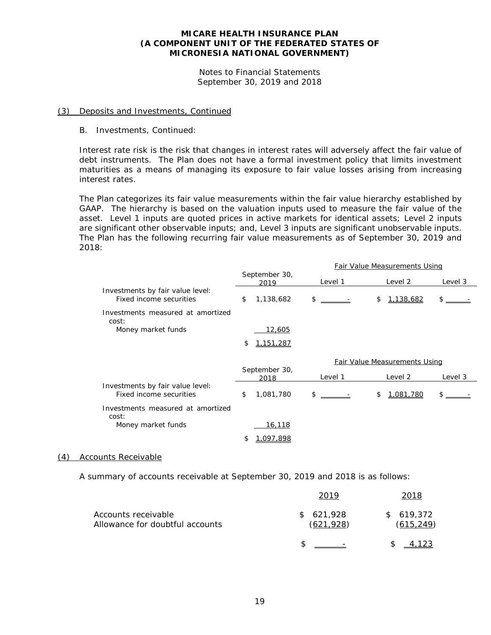Notes to Financial Statements September 30, 2019 and 2018

#### (3) Deposits and Investments, Continued

#### B. Investments, Continued:

Interest rate risk is the risk that changes in interest rates will adversely affect the fair value of debt instruments. The Plan does not have a formal investment policy that limits investment maturities as a means of managing its exposure to fair value losses arising from increasing interest rates.

The Plan categorizes its fair value measurements within the fair value hierarchy established by GAAP. The hierarchy is based on the valuation inputs used to measure the fair value of the asset. Level 1 inputs are quoted prices in active markets for identical assets; Level 2 inputs are significant other observable inputs; and, Level 3 inputs are significant unobservable inputs. The Plan has the following recurring fair value measurements as of September 30, 2019 and 2018:

|                                                             |                       |         | <b>Fair Value Measurements Using</b> |         |
|-------------------------------------------------------------|-----------------------|---------|--------------------------------------|---------|
|                                                             | September 30,<br>2019 | Level 1 | Level 2                              | Level 3 |
| Investments by fair value level:<br>Fixed income securities | \$<br>1,138,682       | \$      | \$<br>1.138.682                      | \$      |
| Investments measured at amortized<br>cost:                  |                       |         |                                      |         |
| Money market funds                                          | 12,605                |         |                                      |         |
|                                                             | \$<br>1,151,287       |         |                                      |         |
|                                                             |                       |         |                                      |         |
|                                                             |                       |         | <b>Fair Value Measurements Using</b> |         |
|                                                             | September 30,<br>2018 | Level 1 | Level 2                              | Level 3 |
| Investments by fair value level:<br>Fixed income securities | \$<br>1,081,780       | \$      | \$<br>1,081,780                      | \$      |
| Investments measured at amortized<br>cost:                  |                       |         |                                      |         |
| Money market funds                                          | 16,118                |         |                                      |         |

#### (4) Accounts Receivable

A summary of accounts receivable at September 30, 2019 and 2018 is as follows:

|                                                        | 2019                        | 2018                   |
|--------------------------------------------------------|-----------------------------|------------------------|
| Accounts receivable<br>Allowance for doubtful accounts | 621,928<br>\$.<br>(621,928) | \$619,372<br>(615,249) |
|                                                        | $\overline{\phantom{0}}$    | 4,1 <u>23</u>          |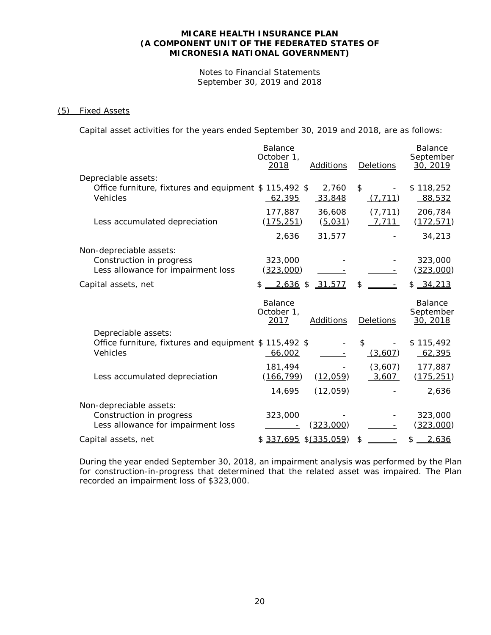Notes to Financial Statements September 30, 2019 and 2018

#### (5) Fixed Assets

Capital asset activities for the years ended September 30, 2019 and 2018, are as follows:

|                                                                                           | <b>Balance</b><br>October 1,<br>2018 | Additions         | Deletions         | <b>Balance</b><br>September<br>30, 2019 |
|-------------------------------------------------------------------------------------------|--------------------------------------|-------------------|-------------------|-----------------------------------------|
| Depreciable assets:                                                                       |                                      |                   |                   |                                         |
| Office furniture, fixtures and equipment \$115,492 \$<br>Vehicles                         | 62,395                               | 2,760<br>33,848   | \$<br>(7, 711)    | \$118,252<br>88,532                     |
| Less accumulated depreciation                                                             | 177,887<br>(175, 251)                | 36,608<br>(5,031) | (7, 711)<br>7,711 | 206,784<br>(172, 571)                   |
|                                                                                           | 2,636                                | 31,577            |                   | 34,213                                  |
| Non-depreciable assets:<br>Construction in progress<br>Less allowance for impairment loss | 323,000<br>(323,000)                 |                   |                   | 323,000<br>(323,000)                    |
| Capital assets, net                                                                       | $-2,636$ \$<br>\$                    | 31,577            | \$                | \$34,213                                |
|                                                                                           | <b>Balance</b><br>October 1,<br>2017 | Additions         | Deletions         | <b>Balance</b><br>September<br>30, 2018 |
| Depreciable assets:<br>Office furniture, fixtures and equipment \$115,492 \$<br>Vehicles  | 66,002                               |                   | \$<br>(3,607)     | \$115,492<br>62,395                     |
| Less accumulated depreciation                                                             | 181,494<br>(166, 799)                | (12,059)          | (3,607)<br>3,607  | 177,887<br>(175, 251)                   |
|                                                                                           | 14,695                               | (12,059)          |                   | 2,636                                   |
| Non-depreciable assets:                                                                   |                                      |                   |                   |                                         |
| Construction in progress<br>Less allowance for impairment loss                            | 323,000                              | (323,000)         |                   | 323,000<br>(323,000)                    |
| Capital assets, net                                                                       |                                      |                   |                   |                                         |

During the year ended September 30, 2018, an impairment analysis was performed by the Plan for construction-in-progress that determined that the related asset was impaired. The Plan recorded an impairment loss of \$323,000.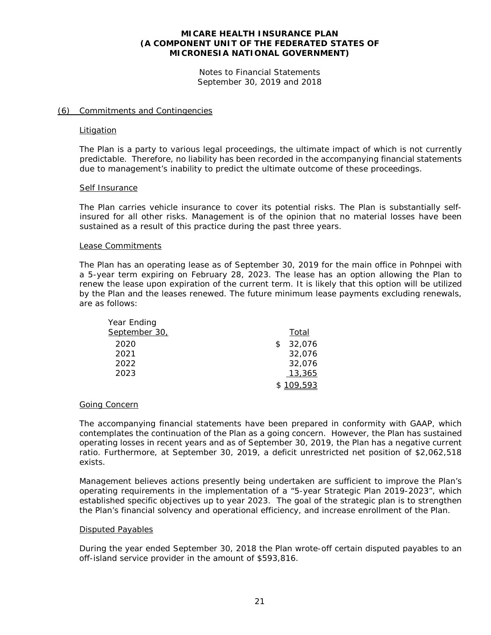Notes to Financial Statements September 30, 2019 and 2018

#### (6) Commitments and Contingencies

#### Litigation

The Plan is a party to various legal proceedings, the ultimate impact of which is not currently predictable. Therefore, no liability has been recorded in the accompanying financial statements due to management's inability to predict the ultimate outcome of these proceedings.

#### Self Insurance

The Plan carries vehicle insurance to cover its potential risks. The Plan is substantially selfinsured for all other risks. Management is of the opinion that no material losses have been sustained as a result of this practice during the past three years.

#### Lease Commitments

The Plan has an operating lease as of September 30, 2019 for the main office in Pohnpei with a 5-year term expiring on February 28, 2023. The lease has an option allowing the Plan to renew the lease upon expiration of the current term. It is likely that this option will be utilized by the Plan and the leases renewed. The future minimum lease payments excluding renewals, are as follows:

| Year Ending   |              |
|---------------|--------------|
| September 30, | Total        |
| 2020          | 32,076<br>\$ |
| 2021          | 32,076       |
| 2022          | 32.076       |
| 2023          | 13,365       |
|               | \$109.593    |

#### Going Concern

The accompanying financial statements have been prepared in conformity with GAAP, which contemplates the continuation of the Plan as a going concern. However, the Plan has sustained operating losses in recent years and as of September 30, 2019, the Plan has a negative current ratio. Furthermore, at September 30, 2019, a deficit unrestricted net position of \$2,062,518 exists.

Management believes actions presently being undertaken are sufficient to improve the Plan's operating requirements in the implementation of a "5-year Strategic Plan 2019-2023", which established specific objectives up to year 2023. The goal of the strategic plan is to strengthen the Plan's financial solvency and operational efficiency, and increase enrollment of the Plan.

#### Disputed Payables

During the year ended September 30, 2018 the Plan wrote-off certain disputed payables to an off-island service provider in the amount of \$593,816.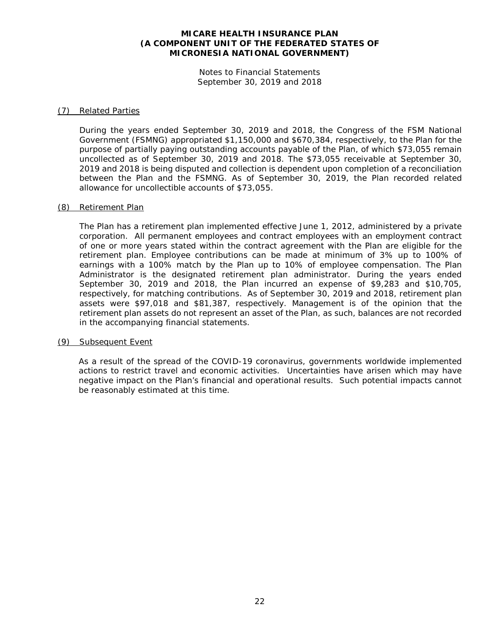Notes to Financial Statements September 30, 2019 and 2018

#### (7) Related Parties

During the years ended September 30, 2019 and 2018, the Congress of the FSM National Government (FSMNG) appropriated \$1,150,000 and \$670,384, respectively, to the Plan for the purpose of partially paying outstanding accounts payable of the Plan, of which \$73,055 remain uncollected as of September 30, 2019 and 2018. The \$73,055 receivable at September 30, 2019 and 2018 is being disputed and collection is dependent upon completion of a reconciliation between the Plan and the FSMNG. As of September 30, 2019, the Plan recorded related allowance for uncollectible accounts of \$73,055.

#### (8) Retirement Plan

The Plan has a retirement plan implemented effective June 1, 2012, administered by a private corporation. All permanent employees and contract employees with an employment contract of one or more years stated within the contract agreement with the Plan are eligible for the retirement plan. Employee contributions can be made at minimum of 3% up to 100% of earnings with a 100% match by the Plan up to 10% of employee compensation. The Plan Administrator is the designated retirement plan administrator. During the years ended September 30, 2019 and 2018, the Plan incurred an expense of \$9,283 and \$10,705, respectively, for matching contributions. As of September 30, 2019 and 2018, retirement plan assets were \$97,018 and \$81,387, respectively. Management is of the opinion that the retirement plan assets do not represent an asset of the Plan, as such, balances are not recorded in the accompanying financial statements.

#### (9) Subsequent Event

As a result of the spread of the COVID-19 coronavirus, governments worldwide implemented actions to restrict travel and economic activities. Uncertainties have arisen which may have negative impact on the Plan's financial and operational results. Such potential impacts cannot be reasonably estimated at this time.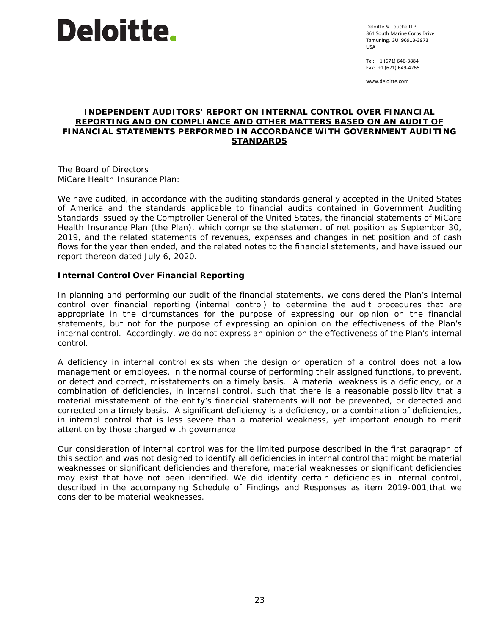

Deloitte & Touche LLP 361 South Marine Corps Drive Tamuning, GU 96913-3973 USA

Tel: +1 (671) 646-3884 Fax: +1 (671) 649-4265

www.deloitte.com

#### **INDEPENDENT AUDITORS' REPORT ON INTERNAL CONTROL OVER FINANCIAL REPORTING AND ON COMPLIANCE AND OTHER MATTERS BASED ON AN AUDIT OF FINANCIAL STATEMENTS PERFORMED IN ACCORDANCE WITH** *GOVERNMENT AUDITING STANDARDS*

The Board of Directors MiCare Health Insurance Plan:

We have audited, in accordance with the auditing standards generally accepted in the United States of America and the standards applicable to financial audits contained in *Government Auditing Standards* issued by the Comptroller General of the United States, the financial statements of MiCare Health Insurance Plan (the Plan), which comprise the statement of net position as September 30, 2019, and the related statements of revenues, expenses and changes in net position and of cash flows for the year then ended, and the related notes to the financial statements, and have issued our report thereon dated July 6, 2020.

# **Internal Control Over Financial Reporting**

In planning and performing our audit of the financial statements, we considered the Plan's internal control over financial reporting (internal control) to determine the audit procedures that are appropriate in the circumstances for the purpose of expressing our opinion on the financial statements, but not for the purpose of expressing an opinion on the effectiveness of the Plan's internal control. Accordingly, we do not express an opinion on the effectiveness of the Plan's internal control.

A *deficiency in internal control* exists when the design or operation of a control does not allow management or employees, in the normal course of performing their assigned functions, to prevent, or detect and correct, misstatements on a timely basis. A *material weakness* is a deficiency, or a combination of deficiencies, in internal control, such that there is a reasonable possibility that a material misstatement of the entity's financial statements will not be prevented, or detected and corrected on a timely basis. A *significant deficiency* is a deficiency, or a combination of deficiencies, in internal control that is less severe than a material weakness, yet important enough to merit attention by those charged with governance.

Our consideration of internal control was for the limited purpose described in the first paragraph of this section and was not designed to identify all deficiencies in internal control that might be material weaknesses or significant deficiencies and therefore, material weaknesses or significant deficiencies may exist that have not been identified. We did identify certain deficiencies in internal control, described in the accompanying Schedule of Findings and Responses as item 2019-001,that we consider to be material weaknesses.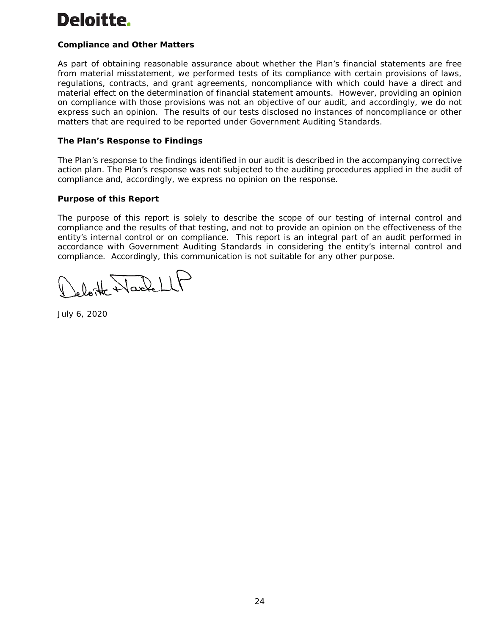# Deloitte.

# **Compliance and Other Matters**

As part of obtaining reasonable assurance about whether the Plan's financial statements are free from material misstatement, we performed tests of its compliance with certain provisions of laws, regulations, contracts, and grant agreements, noncompliance with which could have a direct and material effect on the determination of financial statement amounts. However, providing an opinion on compliance with those provisions was not an objective of our audit, and accordingly, we do not express such an opinion. The results of our tests disclosed no instances of noncompliance or other matters that are required to be reported under *Government Auditing Standards*.

## **The Plan's Response to Findings**

The Plan's response to the findings identified in our audit is described in the accompanying corrective action plan. The Plan's response was not subjected to the auditing procedures applied in the audit of compliance and, accordingly, we express no opinion on the response.

#### **Purpose of this Report**

The purpose of this report is solely to describe the scope of our testing of internal control and compliance and the results of that testing, and not to provide an opinion on the effectiveness of the entity's internal control or on compliance. This report is an integral part of an audit performed in accordance with *Government Auditing Standards* in considering the entity's internal control and compliance. Accordingly, this communication is not suitable for any other purpose.

eloite Nachell

July 6, 2020